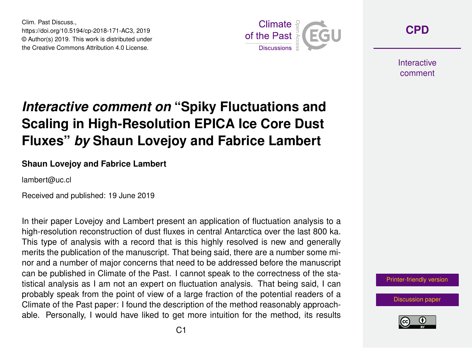Clim. Past Discuss., https://doi.org/10.5194/cp-2018-171-AC3, 2019 © Author(s) 2019. This work is distributed under the Creative Commons Attribution 4.0 License.



**[CPD](https://www.clim-past-discuss.net/)**

**Interactive** comment

# *Interactive comment on* **"Spiky Fluctuations and Scaling in High-Resolution EPICA Ice Core Dust Fluxes"** *by* **Shaun Lovejoy and Fabrice Lambert**

#### **Shaun Lovejoy and Fabrice Lambert**

lambert@uc.cl

Received and published: 19 June 2019

In their paper Lovejoy and Lambert present an application of fluctuation analysis to a high-resolution reconstruction of dust fluxes in central Antarctica over the last 800 ka. This type of analysis with a record that is this highly resolved is new and generally merits the publication of the manuscript. That being said, there are a number some minor and a number of major concerns that need to be addressed before the manuscript can be published in Climate of the Past. I cannot speak to the correctness of the statistical analysis as I am not an expert on fluctuation analysis. That being said, I can probably speak from the point of view of a large fraction of the potential readers of a Climate of the Past paper: I found the description of the method reasonably approachable. Personally, I would have liked to get more intuition for the method, its results

[Printer-friendly version](https://www.clim-past-discuss.net/cp-2018-171/cp-2018-171-AC3-print.pdf)

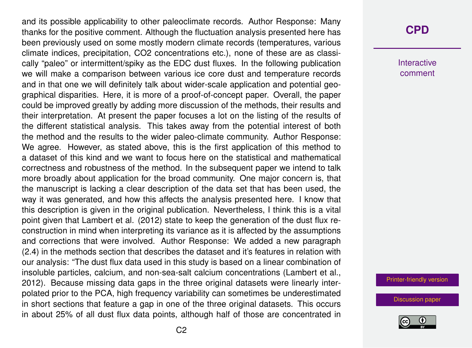and its possible applicability to other paleoclimate records. Author Response: Many thanks for the positive comment. Although the fluctuation analysis presented here has been previously used on some mostly modern climate records (temperatures, various climate indices, precipitation, CO2 concentrations etc.), none of these are as classically "paleo" or intermittent/spiky as the EDC dust fluxes. In the following publication we will make a comparison between various ice core dust and temperature records and in that one we will definitely talk about wider-scale application and potential geographical disparities. Here, it is more of a proof-of-concept paper. Overall, the paper could be improved greatly by adding more discussion of the methods, their results and their interpretation. At present the paper focuses a lot on the listing of the results of the different statistical analysis. This takes away from the potential interest of both the method and the results to the wider paleo-climate community. Author Response: We agree. However, as stated above, this is the first application of this method to a dataset of this kind and we want to focus here on the statistical and mathematical correctness and robustness of the method. In the subsequent paper we intend to talk more broadly about application for the broad community. One major concern is, that the manuscript is lacking a clear description of the data set that has been used, the way it was generated, and how this affects the analysis presented here. I know that this description is given in the original publication. Nevertheless, I think this is a vital point given that Lambert et al. (2012) state to keep the generation of the dust flux reconstruction in mind when interpreting its variance as it is affected by the assumptions and corrections that were involved. Author Response: We added a new paragraph (2.4) in the methods section that describes the dataset and it's features in relation with our analysis: "The dust flux data used in this study is based on a linear combination of insoluble particles, calcium, and non-sea-salt calcium concentrations (Lambert et al., 2012). Because missing data gaps in the three original datasets were linearly interpolated prior to the PCA, high frequency variability can sometimes be underestimated in short sections that feature a gap in one of the three original datasets. This occurs in about 25% of all dust flux data points, although half of those are concentrated in

## **[CPD](https://www.clim-past-discuss.net/)**

Interactive comment

[Printer-friendly version](https://www.clim-past-discuss.net/cp-2018-171/cp-2018-171-AC3-print.pdf)

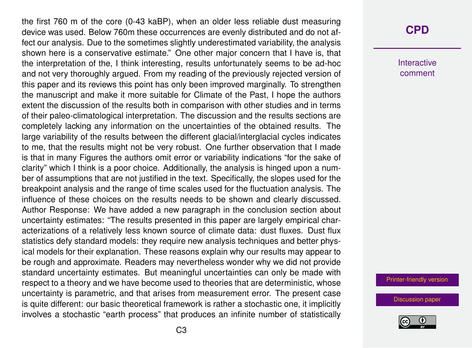the first 760 m of the core (0-43 kaBP), when an older less reliable dust measuring device was used. Below 760m these occurrences are evenly distributed and do not affect our analysis. Due to the sometimes slightly underestimated variability, the analysis shown here is a conservative estimate." One other major concern that I have is, that the interpretation of the, I think interesting, results unfortunately seems to be ad-hoc and not very thoroughly argued. From my reading of the previously rejected version of this paper and its reviews this point has only been improved marginally. To strengthen the manuscript and make it more suitable for Climate of the Past, I hope the authors extent the discussion of the results both in comparison with other studies and in terms of their paleo-climatological interpretation. The discussion and the results sections are completely lacking any information on the uncertainties of the obtained results. The large variability of the results between the different glacial/interglacial cycles indicates to me, that the results might not be very robust. One further observation that I made is that in many Figures the authors omit error or variability indications "for the sake of clarity" which I think is a poor choice. Additionally, the analysis is hinged upon a number of assumptions that are not justified in the text. Specifically, the slopes used for the breakpoint analysis and the range of time scales used for the fluctuation analysis. The influence of these choices on the results needs to be shown and clearly discussed. Author Response: We have added a new paragraph in the conclusion section about uncertainty estimates: "The results presented in this paper are largely empirical characterizations of a relatively less known source of climate data: dust fluxes. Dust flux statistics defy standard models: they require new analysis techniques and better physical models for their explanation. These reasons explain why our results may appear to be rough and approximate. Readers may nevertheless wonder why we did not provide standard uncertainty estimates. But meaningful uncertainties can only be made with respect to a theory and we have become used to theories that are deterministic, whose uncertainty is parametric, and that arises from measurement error. The present case is quite different: our basic theoretical framework is rather a stochastic one, it implicitly involves a stochastic "earth process" that produces an infinite number of statistically

## **[CPD](https://www.clim-past-discuss.net/)**

Interactive comment

[Printer-friendly version](https://www.clim-past-discuss.net/cp-2018-171/cp-2018-171-AC3-print.pdf)

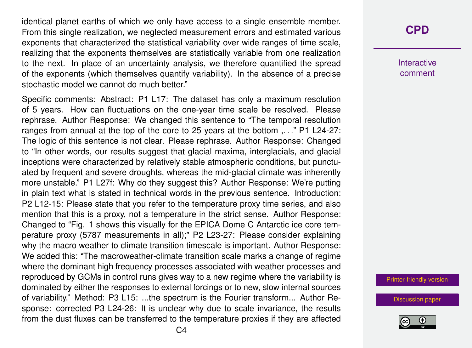identical planet earths of which we only have access to a single ensemble member. From this single realization, we neglected measurement errors and estimated various exponents that characterized the statistical variability over wide ranges of time scale, realizing that the exponents themselves are statistically variable from one realization to the next. In place of an uncertainty analysis, we therefore quantified the spread of the exponents (which themselves quantify variability). In the absence of a precise stochastic model we cannot do much better."

Specific comments: Abstract: P1 L17: The dataset has only a maximum resolution of 5 years. How can fluctuations on the one-year time scale be resolved. Please rephrase. Author Response: We changed this sentence to "The temporal resolution ranges from annual at the top of the core to 25 years at the bottom ...." P1 L24-27: The logic of this sentence is not clear. Please rephrase. Author Response: Changed to "In other words, our results suggest that glacial maxima, interglacials, and glacial inceptions were characterized by relatively stable atmospheric conditions, but punctuated by frequent and severe droughts, whereas the mid-glacial climate was inherently more unstable." P1 L27f: Why do they suggest this? Author Response: We're putting in plain text what is stated in technical words in the previous sentence. Introduction: P2 L12-15: Please state that you refer to the temperature proxy time series, and also mention that this is a proxy, not a temperature in the strict sense. Author Response: Changed to "Fig. 1 shows this visually for the EPICA Dome C Antarctic ice core temperature proxy (5787 measurements in all);" P2 L23-27: Please consider explaining why the macro weather to climate transition timescale is important. Author Response: We added this: "The macroweather-climate transition scale marks a change of regime where the dominant high frequency processes associated with weather processes and reproduced by GCMs in control runs gives way to a new regime where the variability is dominated by either the responses to external forcings or to new, slow internal sources of variability." Method: P3 L15: ...the spectrum is the Fourier transform... Author Response: corrected P3 L24-26: It is unclear why due to scale invariance, the results from the dust fluxes can be transferred to the temperature proxies if they are affected Interactive comment

[Printer-friendly version](https://www.clim-past-discuss.net/cp-2018-171/cp-2018-171-AC3-print.pdf)

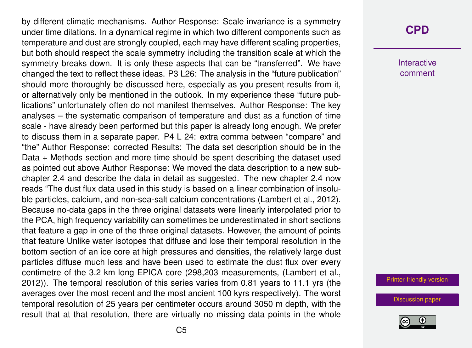by different climatic mechanisms. Author Response: Scale invariance is a symmetry under time dilations. In a dynamical regime in which two different components such as temperature and dust are strongly coupled, each may have different scaling properties, but both should respect the scale symmetry including the transition scale at which the symmetry breaks down. It is only these aspects that can be "transferred". We have changed the text to reflect these ideas. P3 L26: The analysis in the "future publication" should more thoroughly be discussed here, especially as you present results from it, or alternatively only be mentioned in the outlook. In my experience these "future publications" unfortunately often do not manifest themselves. Author Response: The key analyses – the systematic comparison of temperature and dust as a function of time scale - have already been performed but this paper is already long enough. We prefer to discuss them in a separate paper. P4 L 24: extra comma between "compare" and "the" Author Response: corrected Results: The data set description should be in the Data + Methods section and more time should be spent describing the dataset used as pointed out above Author Response: We moved the data description to a new subchapter 2.4 and describe the data in detail as suggested. The new chapter 2.4 now reads "The dust flux data used in this study is based on a linear combination of insoluble particles, calcium, and non-sea-salt calcium concentrations (Lambert et al., 2012). Because no-data gaps in the three original datasets were linearly interpolated prior to the PCA, high frequency variability can sometimes be underestimated in short sections that feature a gap in one of the three original datasets. However, the amount of points that feature Unlike water isotopes that diffuse and lose their temporal resolution in the bottom section of an ice core at high pressures and densities, the relatively large dust particles diffuse much less and have been used to estimate the dust flux over every centimetre of the 3.2 km long EPICA core (298,203 measurements, (Lambert et al., 2012)). The temporal resolution of this series varies from 0.81 years to 11.1 yrs (the averages over the most recent and the most ancient 100 kyrs respectively). The worst temporal resolution of 25 years per centimeter occurs around 3050 m depth, with the result that at that resolution, there are virtually no missing data points in the whole

### **[CPD](https://www.clim-past-discuss.net/)**

Interactive comment

[Printer-friendly version](https://www.clim-past-discuss.net/cp-2018-171/cp-2018-171-AC3-print.pdf)

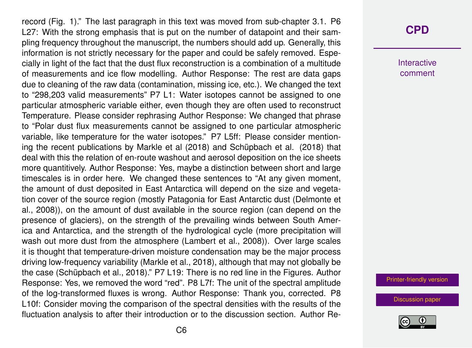record (Fig. 1)." The last paragraph in this text was moved from sub-chapter 3.1. P6 L27: With the strong emphasis that is put on the number of datapoint and their sampling frequency throughout the manuscript, the numbers should add up. Generally, this information is not strictly necessary for the paper and could be safely removed. Especially in light of the fact that the dust flux reconstruction is a combination of a multitude of measurements and ice flow modelling. Author Response: The rest are data gaps due to cleaning of the raw data (contamination, missing ice, etc.). We changed the text to "298,203 valid measurements" P7 L1: Water isotopes cannot be assigned to one particular atmospheric variable either, even though they are often used to reconstruct Temperature. Please consider rephrasing Author Response: We changed that phrase to "Polar dust flux measurements cannot be assigned to one particular atmospheric variable, like temperature for the water isotopes." P7 L5ff: Please consider mentioning the recent publications by Markle et al (2018) and Schüpbach et al. (2018) that deal with this the relation of en-route washout and aerosol deposition on the ice sheets more quantitively. Author Response: Yes, maybe a distinction between short and large timescales is in order here. We changed these sentences to "At any given moment, the amount of dust deposited in East Antarctica will depend on the size and vegetation cover of the source region (mostly Patagonia for East Antarctic dust (Delmonte et al., 2008)), on the amount of dust available in the source region (can depend on the presence of glaciers), on the strength of the prevailing winds between South America and Antarctica, and the strength of the hydrological cycle (more precipitation will wash out more dust from the atmosphere (Lambert et al., 2008)). Over large scales it is thought that temperature-driven moisture condensation may be the major process driving low-frequency variability (Markle et al., 2018), although that may not globally be the case (Schüpbach et al., 2018)." P7 L19: There is no red line in the Figures. Author Response: Yes, we removed the word "red". P8 L7f: The unit of the spectral amplitude of the log-transformed fluxes is wrong. Author Response: Thank you, corrected. P8 L10f: Consider moving the comparison of the spectral densities with the results of the fluctuation analysis to after their introduction or to the discussion section. Author Re-

## **[CPD](https://www.clim-past-discuss.net/)**

Interactive comment

[Printer-friendly version](https://www.clim-past-discuss.net/cp-2018-171/cp-2018-171-AC3-print.pdf)

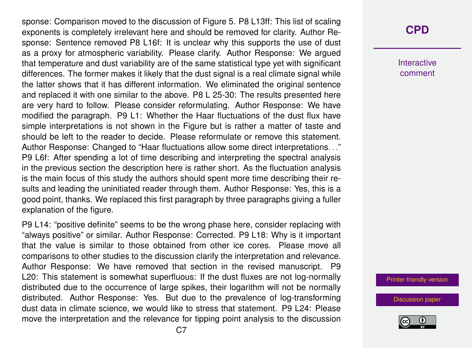sponse: Comparison moved to the discussion of Figure 5. P8 L13ff: This list of scaling exponents is completely irrelevant here and should be removed for clarity. Author Response: Sentence removed P8 L16f: It is unclear why this supports the use of dust as a proxy for atmospheric variability. Please clarify. Author Response: We argued that temperature and dust variability are of the same statistical type yet with significant differences. The former makes it likely that the dust signal is a real climate signal while the latter shows that it has different information. We eliminated the original sentence and replaced it with one similar to the above. P8 L 25-30: The results presented here are very hard to follow. Please consider reformulating. Author Response: We have modified the paragraph. P9 L1: Whether the Haar fluctuations of the dust flux have simple interpretations is not shown in the Figure but is rather a matter of taste and should be left to the reader to decide. Please reformulate or remove this statement. Author Response: Changed to "Haar fluctuations allow some direct interpretations. . ." P9 L6f: After spending a lot of time describing and interpreting the spectral analysis in the previous section the description here is rather short. As the fluctuation analysis is the main focus of this study the authors should spent more time describing their results and leading the uninitiated reader through them. Author Response: Yes, this is a good point, thanks. We replaced this first paragraph by three paragraphs giving a fuller explanation of the figure.

P9 L14: "positive definite" seems to be the wrong phase here, consider replacing with "always positive" or similar. Author Response: Corrected. P9 L18: Why is it important that the value is similar to those obtained from other ice cores. Please move all comparisons to other studies to the discussion clarify the interpretation and relevance. Author Response: We have removed that section in the revised manuscript. P9 L20: This statement is somewhat superfluous: If the dust fluxes are not log-normally distributed due to the occurrence of large spikes, their logarithm will not be normally distributed. Author Response: Yes. But due to the prevalence of log-transforming dust data in climate science, we would like to stress that statement. P9 L24: Please move the interpretation and the relevance for tipping point analysis to the discussion

## **[CPD](https://www.clim-past-discuss.net/)**

Interactive comment

[Printer-friendly version](https://www.clim-past-discuss.net/cp-2018-171/cp-2018-171-AC3-print.pdf)

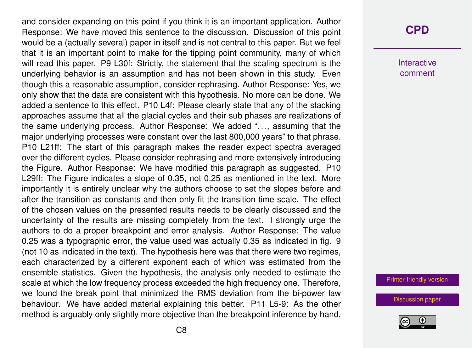and consider expanding on this point if you think it is an important application. Author Response: We have moved this sentence to the discussion. Discussion of this point would be a (actually several) paper in itself and is not central to this paper. But we feel that it is an important point to make for the tipping point community, many of which will read this paper. P9 L30f: Strictly, the statement that the scaling spectrum is the underlying behavior is an assumption and has not been shown in this study. Even though this a reasonable assumption, consider rephrasing. Author Response: Yes, we only show that the data are consistent with this hypothesis. No more can be done. We added a sentence to this effect. P10 L4f: Please clearly state that any of the stacking approaches assume that all the glacial cycles and their sub phases are realizations of the same underlying process. Author Response: We added ". . ., assuming that the major underlying processes were constant over the last 800,000 years" to that phrase. P10 L21ff: The start of this paragraph makes the reader expect spectra averaged over the different cycles. Please consider rephrasing and more extensively introducing the Figure. Author Response: We have modified this paragraph as suggested. P10 L29ff: The Figure indicates a slope of 0.35, not 0.25 as mentioned in the text. More importantly it is entirely unclear why the authors choose to set the slopes before and after the transition as constants and then only fit the transition time scale. The effect of the chosen values on the presented results needs to be clearly discussed and the uncertainty of the results are missing completely from the text. I strongly urge the authors to do a proper breakpoint and error analysis. Author Response: The value 0.25 was a typographic error, the value used was actually 0.35 as indicated in fig. 9 (not 10 as indicated in the text). The hypothesis here was that there were two regimes, each characterized by a different exponent each of which was estimated from the ensemble statistics. Given the hypothesis, the analysis only needed to estimate the scale at which the low frequency process exceeded the high frequency one. Therefore, we found the break point that minimized the RMS deviation from the bi-power law behaviour. We have added material explaining this better. P11 L5-9: As the other method is arguably only slightly more objective than the breakpoint inference by hand,

#### **[CPD](https://www.clim-past-discuss.net/)**

Interactive comment

[Printer-friendly version](https://www.clim-past-discuss.net/cp-2018-171/cp-2018-171-AC3-print.pdf)

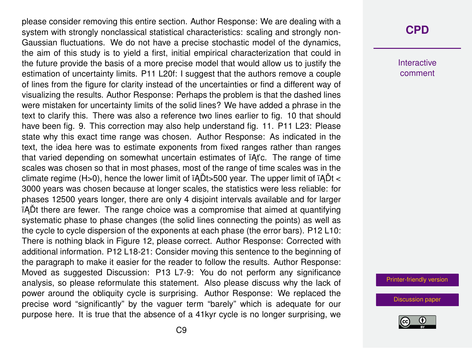please consider removing this entire section. Author Response: We are dealing with a system with strongly nonclassical statistical characteristics: scaling and strongly non-Gaussian fluctuations. We do not have a precise stochastic model of the dynamics, the aim of this study is to yield a first, initial empirical characterization that could in the future provide the basis of a more precise model that would allow us to justify the estimation of uncertainty limits. P11 L20f: I suggest that the authors remove a couple of lines from the figure for clarity instead of the uncertainties or find a different way of visualizing the results. Author Response: Perhaps the problem is that the dashed lines were mistaken for uncertainty limits of the solid lines? We have added a phrase in the text to clarify this. There was also a reference two lines earlier to fig. 10 that should have been fig. 9. This correction may also help understand fig. 11. P11 L23: Please state why this exact time range was chosen. Author Response: As indicated in the text, the idea here was to estimate exponents from fixed ranges rather than ranges that varied depending on somewhat uncertain estimates of *iAt'c*. The range of time scales was chosen so that in most phases, most of the range of time scales was in the climate regime (H>0), hence the lower limit of  $\tilde{A}$ Dt>500 year. The upper limit of  $\tilde{A}$ Dt < 3000 years was chosen because at longer scales, the statistics were less reliable: for phases 12500 years longer, there are only 4 disjoint intervals available and for larger in ADt there are fewer. The range choice was a compromise that aimed at quantifying systematic phase to phase changes (the solid lines connecting the points) as well as the cycle to cycle dispersion of the exponents at each phase (the error bars). P12 L10: There is nothing black in Figure 12, please correct. Author Response: Corrected with additional information. P12 L18-21: Consider moving this sentence to the beginning of the paragraph to make it easier for the reader to follow the results. Author Response: Moved as suggested Discussion: P13 L7-9: You do not perform any significance analysis, so please reformulate this statement. Also please discuss why the lack of power around the obliquity cycle is surprising. Author Response: We replaced the precise word "significantly" by the vaguer term "barely" which is adequate for our purpose here. It is true that the absence of a 41kyr cycle is no longer surprising, we

## **[CPD](https://www.clim-past-discuss.net/)**

Interactive comment

[Printer-friendly version](https://www.clim-past-discuss.net/cp-2018-171/cp-2018-171-AC3-print.pdf)

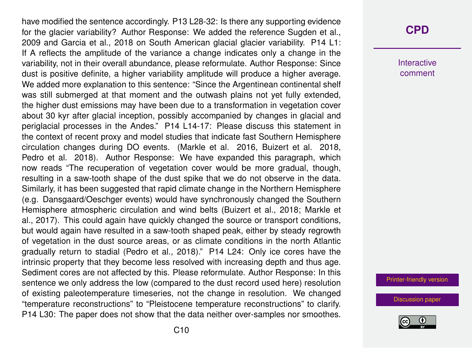have modified the sentence accordingly. P13 L28-32: Is there any supporting evidence for the glacier variability? Author Response: We added the reference Sugden et al., 2009 and Garcia et al., 2018 on South American glacial glacier variability. P14 L1: If A reflects the amplitude of the variance a change indicates only a change in the variability, not in their overall abundance, please reformulate. Author Response: Since dust is positive definite, a higher variability amplitude will produce a higher average. We added more explanation to this sentence: "Since the Argentinean continental shelf was still submerged at that moment and the outwash plains not yet fully extended, the higher dust emissions may have been due to a transformation in vegetation cover about 30 kyr after glacial inception, possibly accompanied by changes in glacial and periglacial processes in the Andes." P14 L14-17: Please discuss this statement in the context of recent proxy and model studies that indicate fast Southern Hemisphere circulation changes during DO events. (Markle et al. 2016, Buizert et al. 2018, Pedro et al. 2018). Author Response: We have expanded this paragraph, which now reads "The recuperation of vegetation cover would be more gradual, though, resulting in a saw-tooth shape of the dust spike that we do not observe in the data. Similarly, it has been suggested that rapid climate change in the Northern Hemisphere (e.g. Dansgaard/Oeschger events) would have synchronously changed the Southern Hemisphere atmospheric circulation and wind belts (Buizert et al., 2018; Markle et al., 2017). This could again have quickly changed the source or transport conditions, but would again have resulted in a saw-tooth shaped peak, either by steady regrowth of vegetation in the dust source areas, or as climate conditions in the north Atlantic gradually return to stadial (Pedro et al., 2018)." P14 L24: Only ice cores have the intrinsic property that they become less resolved with increasing depth and thus age. Sediment cores are not affected by this. Please reformulate. Author Response: In this sentence we only address the low (compared to the dust record used here) resolution of existing paleotemperature timeseries, not the change in resolution. We changed "temperature reconstructions" to "Pleistocene temperature reconstructions" to clarify. P14 L30: The paper does not show that the data neither over-samples nor smoothes.

## **[CPD](https://www.clim-past-discuss.net/)**

Interactive comment

[Printer-friendly version](https://www.clim-past-discuss.net/cp-2018-171/cp-2018-171-AC3-print.pdf)